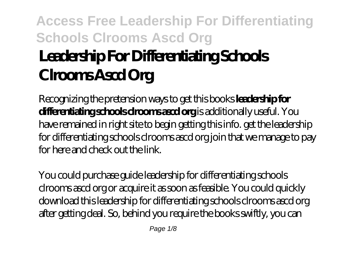# **Access Free Leadership For Differentiating Schools Clrooms Ascd Org Leadership For Differentiating Schools Clrooms Ascd Org**

Recognizing the pretension ways to get this books **leadership for differentiating schools clrooms ascd org** is additionally useful. You have remained in right site to begin getting this info. get the leadership for differentiating schools clrooms ascd org join that we manage to pay for here and check out the link.

You could purchase guide leadership for differentiating schools clrooms ascd org or acquire it as soon as feasible. You could quickly download this leadership for differentiating schools clrooms ascd org after getting deal. So, behind you require the books swiftly, you can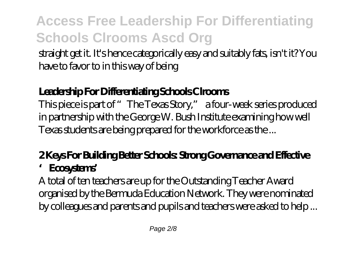straight get it. It's hence categorically easy and suitably fats, isn't it? You have to favor to in this way of being

## **Leadership For Differentiating Schools Clrooms**

This piece is part of "The Texas Story," a four-week series produced in partnership with the George W. Bush Institute examining how well Texas students are being prepared for the workforce as the ...

## **2 Keys For Building Better Schools: Strong Governance and Effective 'Ecosystems'**

A total of ten teachers are up for the Outstanding Teacher Award organised by the Bermuda Education Network. They were nominated by colleagues and parents and pupils and teachers were asked to help ...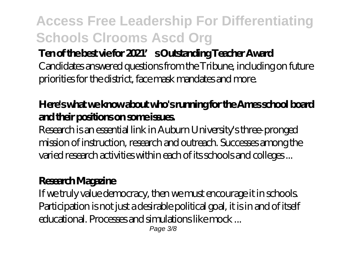### **Ten of the best vie for 2021's Outstanding Teacher Award**

Candidates answered questions from the Tribune, including on future priorities for the district, face mask mandates and more.

### **Here's what we know about who's running for the Ames school board and their positions on some issues.**

Research is an essential link in Auburn University's three-pronged mission of instruction, research and outreach. Successes among the varied research activities within each of its schools and colleges ...

#### **Research Magazine**

If we truly value democracy, then we must encourage it in schools. Participation is not just a desirable political goal, it is in and of itself educational. Processes and simulations like mock ...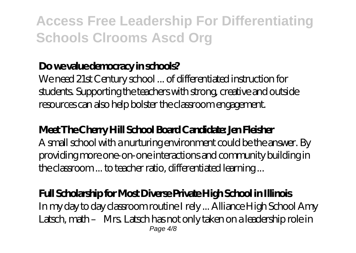## **Do we value democracy in schools?**

We need 21st Century school ... of differentiated instruction for students. Supporting the teachers with strong, creative and outside resources can also help bolster the classroom engagement.

## **Meet The Cherry Hill School Board Candidate: Jen Fleisher**

A small school with a nurturing environment could be the answer. By providing more one-on-one interactions and community building in the classroom ... to teacher ratio, differentiated learning ...

### **Full Scholarship for Most Diverse Private High School in Illinois**

In my day to day classroom routine I rely ... Alliance High School Amy Latsch, math – Mrs. Latsch has not only taken on a leadership role in Page  $4/8$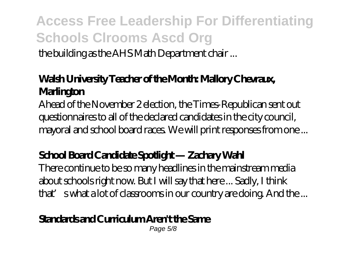the building as the AHS Math Department chair ...

## **Walsh University Teacher of the Month: Mallory Chevraux, Marlington**

Ahead of the November 2 election, the Times-Republican sent out questionnaires to all of the declared candidates in the city council, mayoral and school board races. We will print responses from one ...

## **School Board Candidate Spotlight — Zachary Wahl**

There continue to be so many headlines in the mainstream media about schools right now. But I will say that here ... Sadly, I think that' swhat a lot of classrooms in our country are doing. And the ...

### **Standards and Curriculum Aren't the Same**

Page 5/8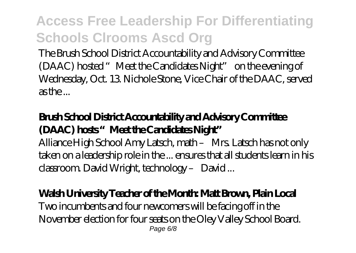The Brush School District Accountability and Advisory Committee (DAAC) hosted "Meet the Candidates Night" on the evening of Wednesday, Oct. 13. Nichole Stone, Vice Chair of the DAAC, served as the ...

## **Brush School District Accountability and Advisory Committee (DAAC) hosts "Meet the Candidates Night"**

Alliance High School Amy Latsch, math – Mrs. Latsch has not only taken on a leadership role in the ... ensures that all students learn in his classroom. David Wright, technology – David ...

### **Walsh University Teacher of the Month: Matt Brown, Plain Local**

Two incumbents and four newcomers will be facing off in the November election for four seats on the Oley Valley School Board. Page 6/8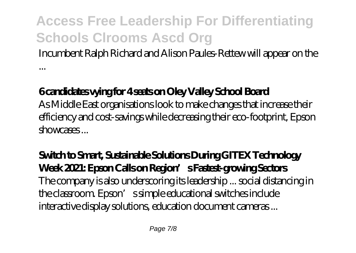Incumbent Ralph Richard and Alison Paules-Rettew will appear on the

### **6 candidates vying for 4 seats on Oley Valley School Board**

...

As Middle East organisations look to make changes that increase their efficiency and cost-savings while decreasing their eco-footprint, Epson showcases ...

**Switch to Smart, Sustainable Solutions During GITEX Technology Week 2021: Epson Calls on Region's Fastest-growing Sectors** The company is also underscoring its leadership ... social distancing in the classroom. Epson's simple educational switches include interactive display solutions, education document cameras ...